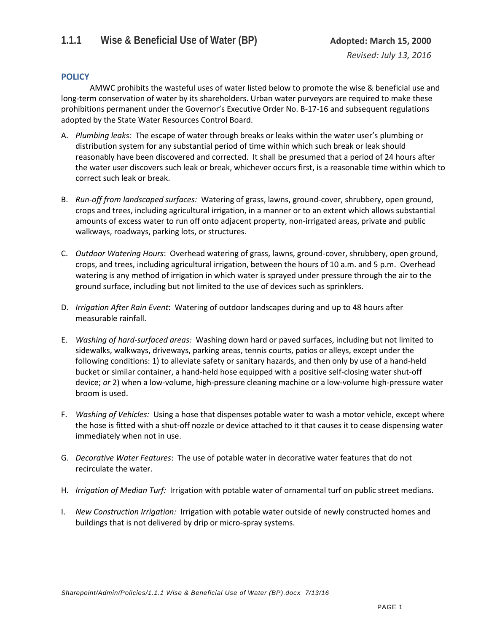## **POLICY**

AMWC prohibits the wasteful uses of water listed below to promote the wise & beneficial use and long-term conservation of water by its shareholders. Urban water purveyors are required to make these prohibitions permanent under the Governor's Executive Order No. B-17-16 and subsequent regulations adopted by the State Water Resources Control Board.

- A. *Plumbing leaks:* The escape of water through breaks or leaks within the water user's plumbing or distribution system for any substantial period of time within which such break or leak should reasonably have been discovered and corrected. It shall be presumed that a period of 24 hours after the water user discovers such leak or break, whichever occurs first, is a reasonable time within which to correct such leak or break.
- B. *Run-off from landscaped surfaces:* Watering of grass, lawns, ground-cover, shrubbery, open ground, crops and trees, including agricultural irrigation, in a manner or to an extent which allows substantial amounts of excess water to run off onto adjacent property, non-irrigated areas, private and public walkways, roadways, parking lots, or structures.
- C. *Outdoor Watering Hours*: Overhead watering of grass, lawns, ground-cover, shrubbery, open ground, crops, and trees, including agricultural irrigation, between the hours of 10 a.m. and 5 p.m. Overhead watering is any method of irrigation in which water is sprayed under pressure through the air to the ground surface, including but not limited to the use of devices such as sprinklers.
- D. *Irrigation After Rain Event*: Watering of outdoor landscapes during and up to 48 hours after measurable rainfall.
- E. *Washing of hard-surfaced areas:* Washing down hard or paved surfaces, including but not limited to sidewalks, walkways, driveways, parking areas, tennis courts, patios or alleys, except under the following conditions: 1) to alleviate safety or sanitary hazards, and then only by use of a hand-held bucket or similar container, a hand-held hose equipped with a positive self-closing water shut-off device; *or* 2) when a low-volume, high-pressure cleaning machine or a low-volume high-pressure water broom is used.
- F. *Washing of Vehicles:* Using a hose that dispenses potable water to wash a motor vehicle, except where the hose is fitted with a shut-off nozzle or device attached to it that causes it to cease dispensing water immediately when not in use.
- G. *Decorative Water Features*: The use of potable water in decorative water features that do not recirculate the water.
- H. *Irrigation of Median Turf:* Irrigation with potable water of ornamental turf on public street medians.
- I. *New Construction Irrigation:* Irrigation with potable water outside of newly constructed homes and buildings that is not delivered by drip or micro-spray systems.